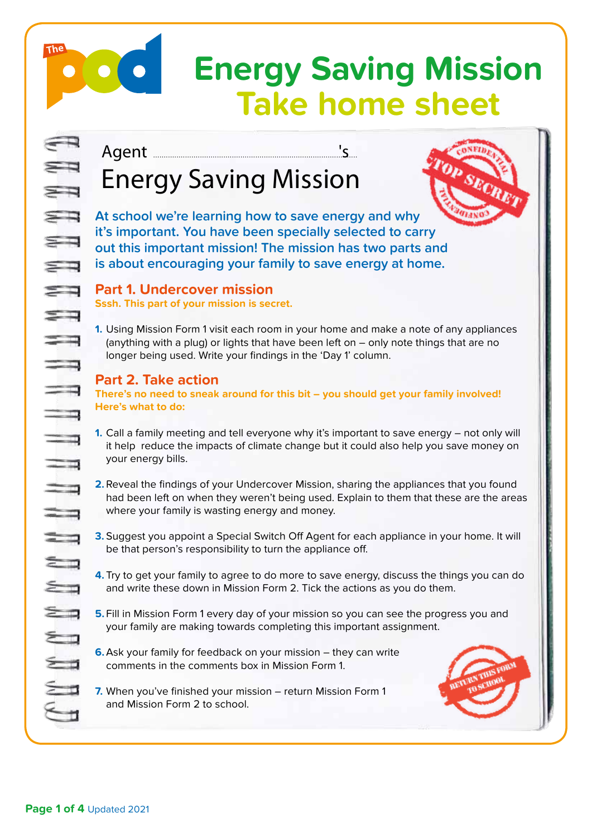# **Energy Saving Mission Take home sheet**

Agent ............................................................................................... 's .

The

# Energy Saving Mission

**At school we're learning how to save energy and why it's important. You have been specially selected to carry out this important mission! The mission has two parts and is about encouraging your family to save energy at home.** 

# **Part 1. Undercover mission**

**Sssh. This part of your mission is secret.**

**1.** Using Mission Form 1 visit each room in your home and make a note of any appliances (anything with a plug) or lights that have been left on – only note things that are no longer being used. Write your findings in the 'Day 1' column.

### **Part 2. Take action**

**There's no need to sneak around for this bit – you should get your family involved! Here's what to do:**

- **1.** Call a family meeting and tell everyone why it's important to save energy not only will it help reduce the impacts of climate change but it could also help you save money on your energy bills.
- **2.**Reveal the findings of your Undercover Mission, sharing the appliances that you found had been left on when they weren't being used. Explain to them that these are the areas where your family is wasting energy and money.
- **3.** Suggest you appoint a Special Switch Off Agent for each appliance in your home. It will be that person's responsibility to turn the appliance off.
- **4.** Try to get your family to agree to do more to save energy, discuss the things you can do and write these down in Mission Form 2. Tick the actions as you do them.
- **5.**Fill in Mission Form 1 every day of your mission so you can see the progress you and your family are making towards completing this important assignment.
- **6.**Ask your family for feedback on your mission they can write comments in the comments box in Mission Form 1.
- **7.** When you've finished your mission return Mission Form 1 and Mission Form 2 to school.

**Page 1 of 4** Updated 2021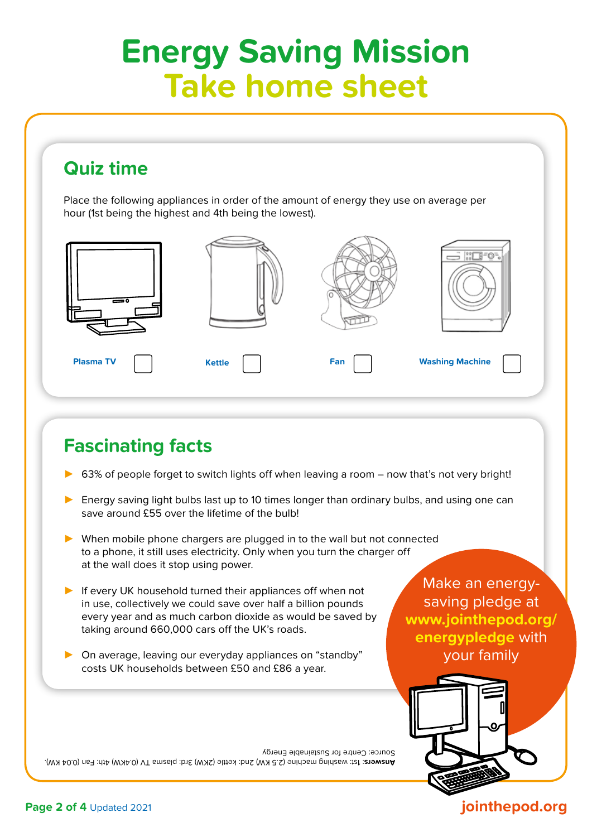# **Energy Saving Mission Take home sheet**

## **Quiz time**

Place the following appliances in order of the amount of energy they use on average per hour (1st being the highest and 4th being the lowest).



# **Fascinating facts**

- 63% of people forget to switch lights off when leaving a room now that's not very bright!
- Energy saving light bulbs last up to 10 times longer than ordinary bulbs, and using one can save around £55 over the lifetime of the bulb!
- ► When mobile phone chargers are plugged in to the wall but not connected to a phone, it still uses electricity. Only when you turn the charger off at the wall does it stop using power.
- ► If every UK household turned their appliances off when not in use, collectively we could save over half a billion pounds every year and as much carbon dioxide as would be saved by taking around 660,000 cars off the UK's roads.
- On average, leaving our everyday appliances on "standby" costs UK households between £50 and £86 a year.

Amers: 1st: washing machine (2.5 KW) 2nd: kettle (2KW) and and ty to wakw) 4th: Fan (0.04 KW). Source: Centre for Sustainable Energy

Make an energysaving pledge at **www.jointhepod.org/ energypledge** with your family



### **Page 2 of 4** Updated 2021

### **jointhepod.org**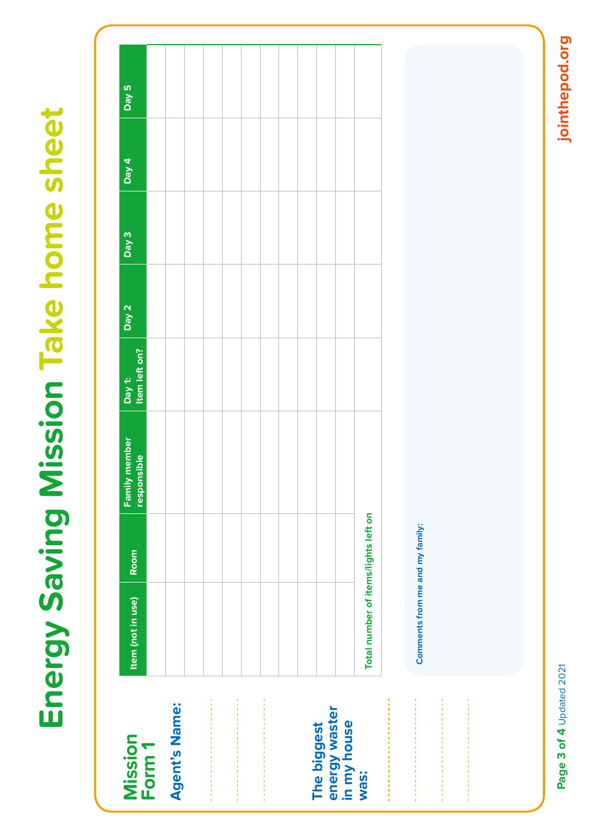# **E nergy Saving Mission Take home sheet**

|                                             |                                      |      |                              |                         | Day 2 | Day 3 | Day 4 | $\overline{D}$ ay 5 |
|---------------------------------------------|--------------------------------------|------|------------------------------|-------------------------|-------|-------|-------|---------------------|
| Mission<br>Form 1                           | Item (not in use)                    | Room | Family member<br>responsible | Day 1:<br>Item left on? |       |       |       |                     |
| <b>Agent's Name:</b>                        |                                      |      |                              |                         |       |       |       |                     |
|                                             |                                      |      |                              |                         |       |       |       |                     |
|                                             |                                      |      |                              |                         |       |       |       |                     |
|                                             |                                      |      |                              |                         |       |       |       |                     |
|                                             |                                      |      |                              |                         |       |       |       |                     |
|                                             |                                      |      |                              |                         |       |       |       |                     |
|                                             |                                      |      |                              |                         |       |       |       |                     |
|                                             |                                      |      |                              |                         |       |       |       |                     |
|                                             |                                      |      |                              |                         |       |       |       |                     |
| The biggest<br>energy waster<br>in my house |                                      |      |                              |                         |       |       |       |                     |
| was:                                        | Total number of items/lights left on |      |                              |                         |       |       |       |                     |
|                                             |                                      |      |                              |                         |       |       |       |                     |
|                                             | Comments from me and my family:      |      |                              |                         |       |       |       |                     |
|                                             |                                      |      |                              |                         |       |       |       |                     |
|                                             |                                      |      |                              |                         |       |       |       |                     |